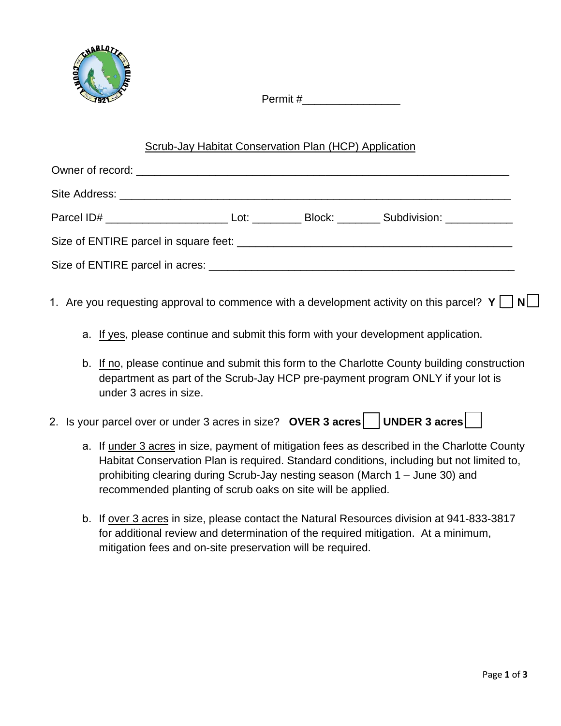

Permit #

## Scrub-Jay Habitat Conservation Plan (HCP) Application

- 1. Are you requesting approval to commence with a development activity on this parcel?  $Y \cap N$ 
	- a. If yes, please continue and submit this form with your development application.
	- b. If no, please continue and submit this form to the Charlotte County building construction department as part of the Scrub-Jay HCP pre-payment program ONLY if your lot is under 3 acres in size.
- 2. Is your parcel over or under 3 acres in size? **OVER 3 acres** UNDER 3 acres
	- a. If under 3 acres in size, payment of mitigation fees as described in the Charlotte County Habitat Conservation Plan is required. Standard conditions, including but not limited to, prohibiting clearing during Scrub-Jay nesting season (March 1 – June 30) and recommended planting of scrub oaks on site will be applied.
	- b. If over 3 acres in size, please contact the Natural Resources division at 941-833-3817 for additional review and determination of the required mitigation. At a minimum, mitigation fees and on-site preservation will be required.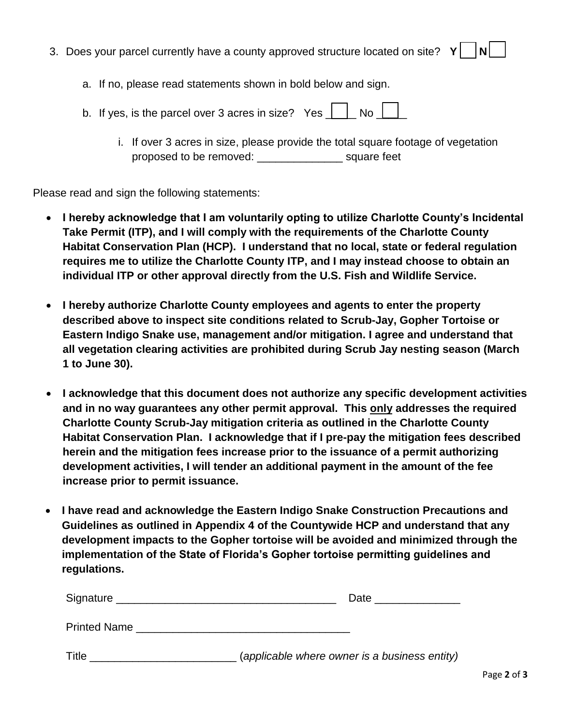- 3. Does your parcel currently have a county approved structure located on site?  $Y \cap N$ 
	- a. If no, please read statements shown in bold below and sign.
	- b. If yes, is the parcel over 3 acres in size? Yes  $\Box$  No  $\Box$ 
		- i. If over 3 acres in size, please provide the total square footage of vegetation proposed to be removed: \_\_\_\_\_\_\_\_\_\_\_\_\_\_ square feet

Please read and sign the following statements:

- **I hereby acknowledge that I am voluntarily opting to utilize Charlotte County's Incidental Take Permit (ITP), and I will comply with the requirements of the Charlotte County Habitat Conservation Plan (HCP). I understand that no local, state or federal regulation requires me to utilize the Charlotte County ITP, and I may instead choose to obtain an individual ITP or other approval directly from the U.S. Fish and Wildlife Service.**
- **I hereby authorize Charlotte County employees and agents to enter the property described above to inspect site conditions related to Scrub-Jay, Gopher Tortoise or Eastern Indigo Snake use, management and/or mitigation. I agree and understand that all vegetation clearing activities are prohibited during Scrub Jay nesting season (March 1 to June 30).**
- **I acknowledge that this document does not authorize any specific development activities and in no way guarantees any other permit approval. This only addresses the required Charlotte County Scrub-Jay mitigation criteria as outlined in the Charlotte County Habitat Conservation Plan. I acknowledge that if I pre-pay the mitigation fees described herein and the mitigation fees increase prior to the issuance of a permit authorizing development activities, I will tender an additional payment in the amount of the fee increase prior to permit issuance.**
- **I have read and acknowledge the Eastern Indigo Snake Construction Precautions and Guidelines as outlined in Appendix 4 of the Countywide HCP and understand that any development impacts to the Gopher tortoise will be avoided and minimized through the implementation of the State of Florida's Gopher tortoise permitting guidelines and regulations.**

| Signature    | Date                                          |
|--------------|-----------------------------------------------|
| Printed Name |                                               |
| Title        | (applicable where owner is a business entity) |